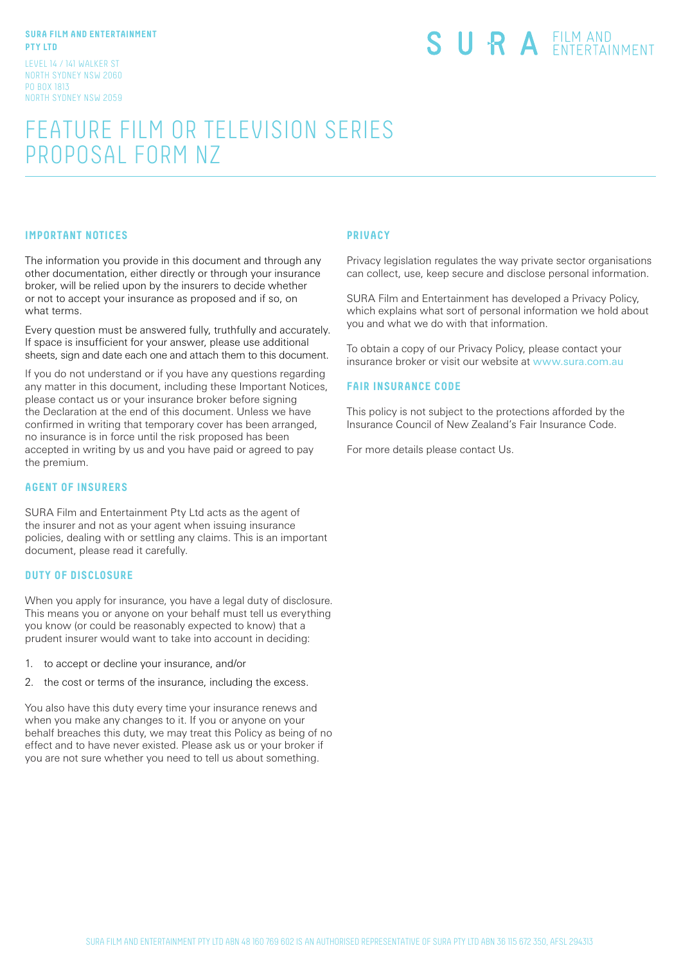#### **SURA FILM AND ENTERTAINMENT PTY LTD**

LEVEL 14 / 141 WALKER ST NORTH SYDNEY NSW 2060 PO BOX 1813 NORTH SYDNEY NSW 2059

# SURA EILM AND

## FEATURE FILM OR TELEVISION SERIES PROPOSAL FORM NZ

#### **IMPORTANT NOTICES**

The information you provide in this document and through any other documentation, either directly or through your insurance broker, will be relied upon by the insurers to decide whether or not to accept your insurance as proposed and if so, on what terms.

Every question must be answered fully, truthfully and accurately. If space is insufficient for your answer, please use additional sheets, sign and date each one and attach them to this document.

If you do not understand or if you have any questions regarding any matter in this document, including these Important Notices, please contact us or your insurance broker before signing the Declaration at the end of this document. Unless we have confirmed in writing that temporary cover has been arranged, no insurance is in force until the risk proposed has been accepted in writing by us and you have paid or agreed to pay the premium.

#### **AGENT OF INSURERS**

SURA Film and Entertainment Pty Ltd acts as the agent of the insurer and not as your agent when issuing insurance policies, dealing with or settling any claims. This is an important document, please read it carefully.

#### **DUTY OF DISCLOSURE**

When you apply for insurance, you have a legal duty of disclosure. This means you or anyone on your behalf must tell us everything you know (or could be reasonably expected to know) that a prudent insurer would want to take into account in deciding:

- 1. to accept or decline your insurance, and/or
- 2. the cost or terms of the insurance, including the excess.

You also have this duty every time your insurance renews and when you make any changes to it. If you or anyone on your behalf breaches this duty, we may treat this Policy as being of no effect and to have never existed. Please ask us or your broker if you are not sure whether you need to tell us about something.

#### **PRIVACY**

Privacy legislation regulates the way private sector organisations can collect, use, keep secure and disclose personal information.

SURA Film and Entertainment has developed a Privacy Policy, which explains what sort of personal information we hold about you and what we do with that information.

To obtain a copy of our Privacy Policy, please contact your insurance broker or visit our website at www.sura.com.au

#### **FAIR INSURANCE CODE**

This policy is not subject to the protections afforded by the Insurance Council of New Zealand's Fair Insurance Code.

For more details please contact Us.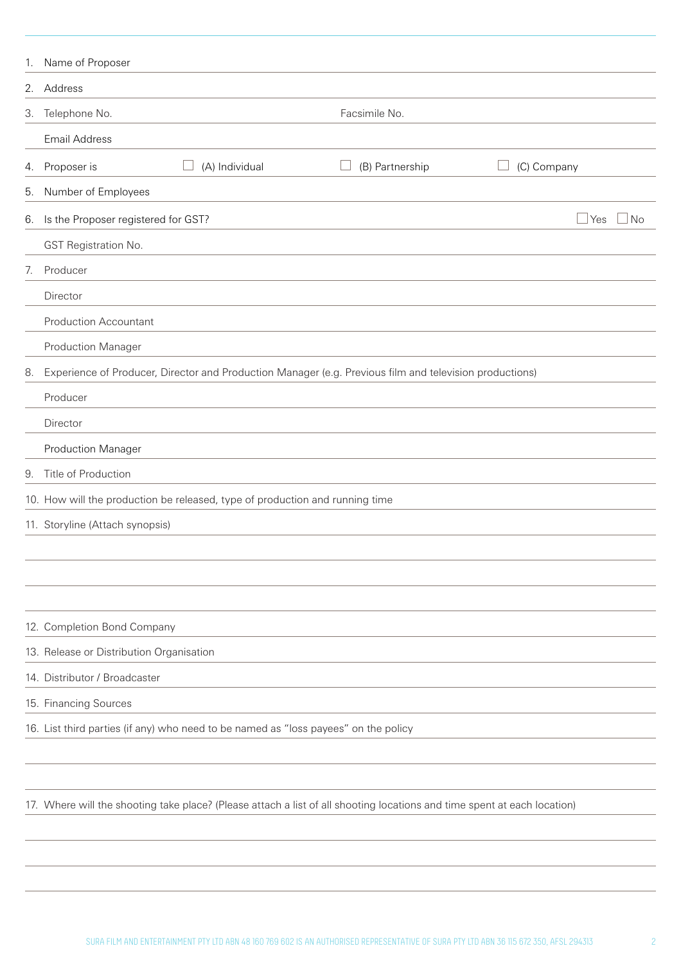| 1.       | Name of Proposer                                                                                                         |                 |                         |
|----------|--------------------------------------------------------------------------------------------------------------------------|-----------------|-------------------------|
|          | 2. Address                                                                                                               |                 |                         |
|          | 3. Telephone No.                                                                                                         | Facsimile No.   |                         |
|          | <b>Email Address</b>                                                                                                     |                 |                         |
|          | (A) Individual<br>4. Proposer is                                                                                         | (B) Partnership | (C) Company             |
| 5.       | Number of Employees                                                                                                      |                 |                         |
|          | 6. Is the Proposer registered for GST?                                                                                   |                 | N <sub>o</sub><br>  Yes |
|          | GST Registration No.                                                                                                     |                 |                         |
| 7.       | Producer                                                                                                                 |                 |                         |
|          | Director                                                                                                                 |                 |                         |
|          | <b>Production Accountant</b>                                                                                             |                 |                         |
|          | <b>Production Manager</b>                                                                                                |                 |                         |
| 8.       | Experience of Producer, Director and Production Manager (e.g. Previous film and television productions)                  |                 |                         |
| Producer |                                                                                                                          |                 |                         |
| Director |                                                                                                                          |                 |                         |
|          | <b>Production Manager</b>                                                                                                |                 |                         |
| 9.       | Title of Production                                                                                                      |                 |                         |
|          | 10. How will the production be released, type of production and running time                                             |                 |                         |
|          | 11. Storyline (Attach synopsis)                                                                                          |                 |                         |
|          |                                                                                                                          |                 |                         |
|          |                                                                                                                          |                 |                         |
|          |                                                                                                                          |                 |                         |
|          | 12. Completion Bond Company                                                                                              |                 |                         |
|          | 13. Release or Distribution Organisation                                                                                 |                 |                         |
|          | 14. Distributor / Broadcaster                                                                                            |                 |                         |
|          | 15. Financing Sources                                                                                                    |                 |                         |
|          | 16. List third parties (if any) who need to be named as "loss payees" on the policy                                      |                 |                         |
|          |                                                                                                                          |                 |                         |
|          |                                                                                                                          |                 |                         |
|          | 17. Where will the shooting take place? (Please attach a list of all shooting locations and time spent at each location) |                 |                         |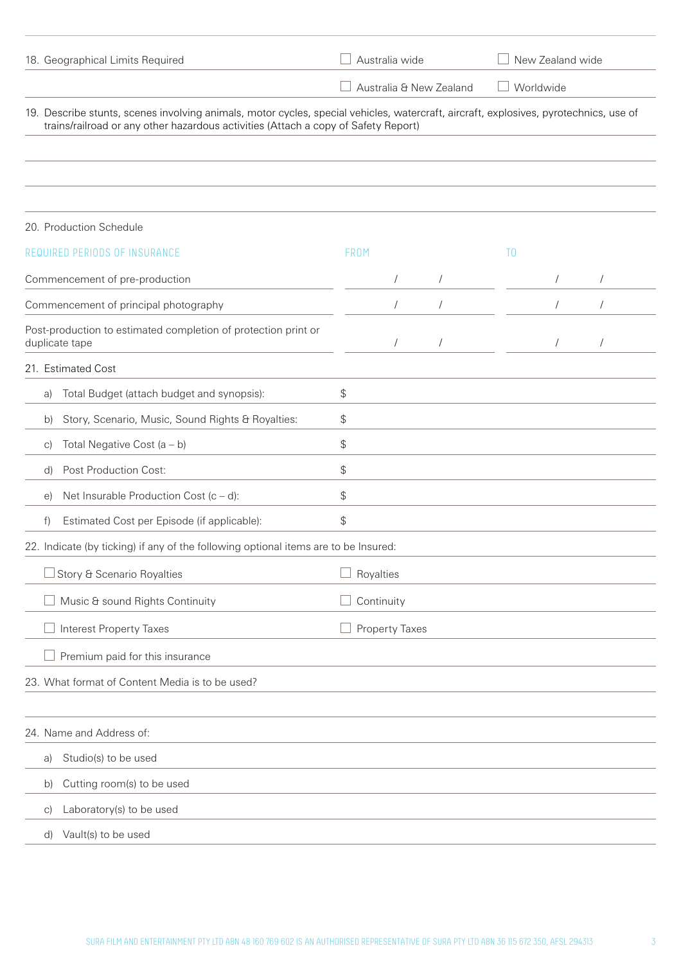| 18. Geographical Limits Required                                                                                                                                                                                            |      | Australia wide        |                         |                | New Zealand wide |            |  |
|-----------------------------------------------------------------------------------------------------------------------------------------------------------------------------------------------------------------------------|------|-----------------------|-------------------------|----------------|------------------|------------|--|
|                                                                                                                                                                                                                             |      |                       | Australia & New Zealand |                | Worldwide        |            |  |
| 19. Describe stunts, scenes involving animals, motor cycles, special vehicles, watercraft, aircraft, explosives, pyrotechnics, use of<br>trains/railroad or any other hazardous activities (Attach a copy of Safety Report) |      |                       |                         |                |                  |            |  |
|                                                                                                                                                                                                                             |      |                       |                         |                |                  |            |  |
| 20. Production Schedule                                                                                                                                                                                                     |      |                       |                         |                |                  |            |  |
| REQUIRED PERIODS OF INSURANCE                                                                                                                                                                                               | FROM |                       |                         | T <sub>0</sub> |                  |            |  |
| Commencement of pre-production                                                                                                                                                                                              |      |                       |                         |                |                  |            |  |
| Commencement of principal photography                                                                                                                                                                                       |      | $\sqrt{2}$            | $\sqrt{2}$              |                |                  | $\sqrt{2}$ |  |
| Post-production to estimated completion of protection print or<br>duplicate tape                                                                                                                                            |      | $\sqrt{2}$            | $\sqrt{2}$              |                |                  |            |  |
| 21. Estimated Cost                                                                                                                                                                                                          |      |                       |                         |                |                  |            |  |
| Total Budget (attach budget and synopsis):<br>a)                                                                                                                                                                            | \$   |                       |                         |                |                  |            |  |
| Story, Scenario, Music, Sound Rights & Royalties:<br>b)                                                                                                                                                                     | \$   |                       |                         |                |                  |            |  |
| Total Negative Cost $(a - b)$<br>C)                                                                                                                                                                                         | \$   |                       |                         |                |                  |            |  |
| Post Production Cost:<br>d)                                                                                                                                                                                                 | \$   |                       |                         |                |                  |            |  |
| Net Insurable Production Cost $(c - d)$ :<br>e)                                                                                                                                                                             | \$   |                       |                         |                |                  |            |  |
| Estimated Cost per Episode (if applicable):<br>f)                                                                                                                                                                           | \$   |                       |                         |                |                  |            |  |
| 22. Indicate (by ticking) if any of the following optional items are to be Insured:                                                                                                                                         |      |                       |                         |                |                  |            |  |
| Story & Scenario Royalties                                                                                                                                                                                                  |      | Royalties             |                         |                |                  |            |  |
| Music & sound Rights Continuity                                                                                                                                                                                             |      | Continuity            |                         |                |                  |            |  |
| <b>Interest Property Taxes</b>                                                                                                                                                                                              |      | <b>Property Taxes</b> |                         |                |                  |            |  |
| Premium paid for this insurance                                                                                                                                                                                             |      |                       |                         |                |                  |            |  |
| 23. What format of Content Media is to be used?                                                                                                                                                                             |      |                       |                         |                |                  |            |  |
|                                                                                                                                                                                                                             |      |                       |                         |                |                  |            |  |
| 24. Name and Address of:                                                                                                                                                                                                    |      |                       |                         |                |                  |            |  |
| Studio(s) to be used<br>a)                                                                                                                                                                                                  |      |                       |                         |                |                  |            |  |
| Cutting room(s) to be used<br>b)                                                                                                                                                                                            |      |                       |                         |                |                  |            |  |
| Laboratory(s) to be used<br>$\vert$ C)                                                                                                                                                                                      |      |                       |                         |                |                  |            |  |
| Vault(s) to be used<br>d)                                                                                                                                                                                                   |      |                       |                         |                |                  |            |  |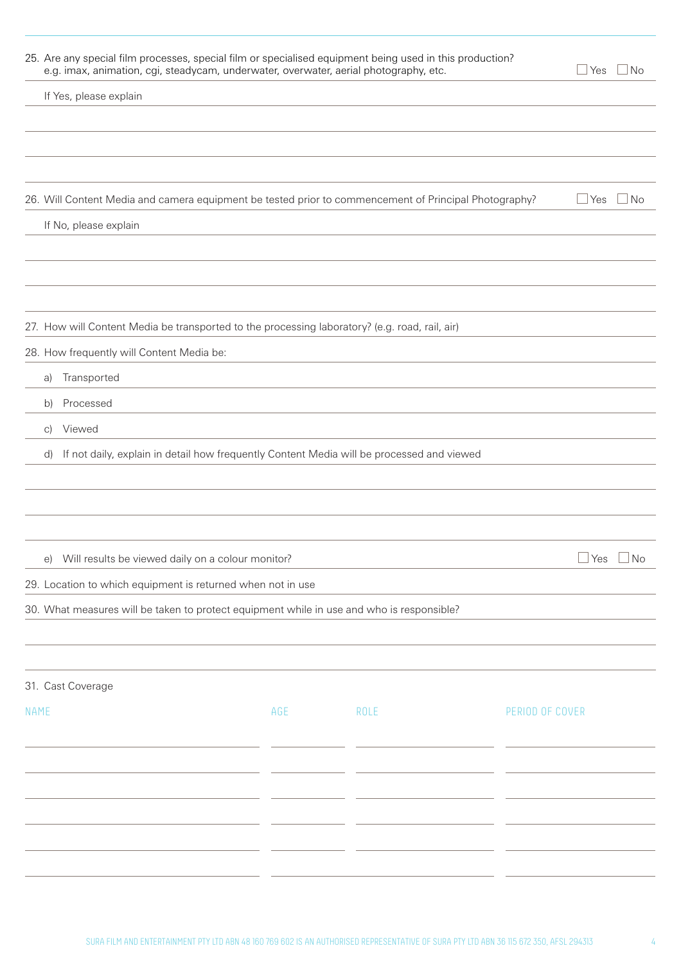|             | 25. Are any special film processes, special film or specialised equipment being used in this production?<br>e.g. imax, animation, cgi, steadycam, underwater, overwater, aerial photography, etc. |     |      |                 | $\mathbin{\sqcup}$ Yes<br>$\Box$ No |
|-------------|---------------------------------------------------------------------------------------------------------------------------------------------------------------------------------------------------|-----|------|-----------------|-------------------------------------|
|             | If Yes, please explain                                                                                                                                                                            |     |      |                 |                                     |
|             |                                                                                                                                                                                                   |     |      |                 |                                     |
|             | 26. Will Content Media and camera equipment be tested prior to commencement of Principal Photography?                                                                                             |     |      |                 | $\Box$ Yes<br>$\sqcup$ No           |
|             | If No, please explain                                                                                                                                                                             |     |      |                 |                                     |
|             | 27. How will Content Media be transported to the processing laboratory? (e.g. road, rail, air)                                                                                                    |     |      |                 |                                     |
|             | 28. How frequently will Content Media be:                                                                                                                                                         |     |      |                 |                                     |
|             | Transported<br>a)                                                                                                                                                                                 |     |      |                 |                                     |
|             | Processed<br>b)                                                                                                                                                                                   |     |      |                 |                                     |
|             | Viewed<br>$\vert$ C)                                                                                                                                                                              |     |      |                 |                                     |
|             | If not daily, explain in detail how frequently Content Media will be processed and viewed<br>d)                                                                                                   |     |      |                 |                                     |
|             |                                                                                                                                                                                                   |     |      |                 |                                     |
|             |                                                                                                                                                                                                   |     |      |                 |                                     |
|             |                                                                                                                                                                                                   |     |      |                 |                                     |
|             | e) Will results be viewed daily on a colour monitor?                                                                                                                                              |     |      |                 | $\Box$ Yes $\Box$ No                |
|             | 29. Location to which equipment is returned when not in use                                                                                                                                       |     |      |                 |                                     |
|             | 30. What measures will be taken to protect equipment while in use and who is responsible?                                                                                                         |     |      |                 |                                     |
|             |                                                                                                                                                                                                   |     |      |                 |                                     |
|             |                                                                                                                                                                                                   |     |      |                 |                                     |
|             | 31. Cast Coverage                                                                                                                                                                                 |     |      |                 |                                     |
| <b>NAME</b> |                                                                                                                                                                                                   | AGE | ROLE | PERIOD OF COVER |                                     |
|             |                                                                                                                                                                                                   |     |      |                 |                                     |
|             |                                                                                                                                                                                                   |     |      |                 |                                     |
|             |                                                                                                                                                                                                   |     |      |                 |                                     |
|             |                                                                                                                                                                                                   |     |      |                 |                                     |
|             |                                                                                                                                                                                                   |     |      |                 |                                     |
|             |                                                                                                                                                                                                   |     |      |                 |                                     |
|             |                                                                                                                                                                                                   |     |      |                 |                                     |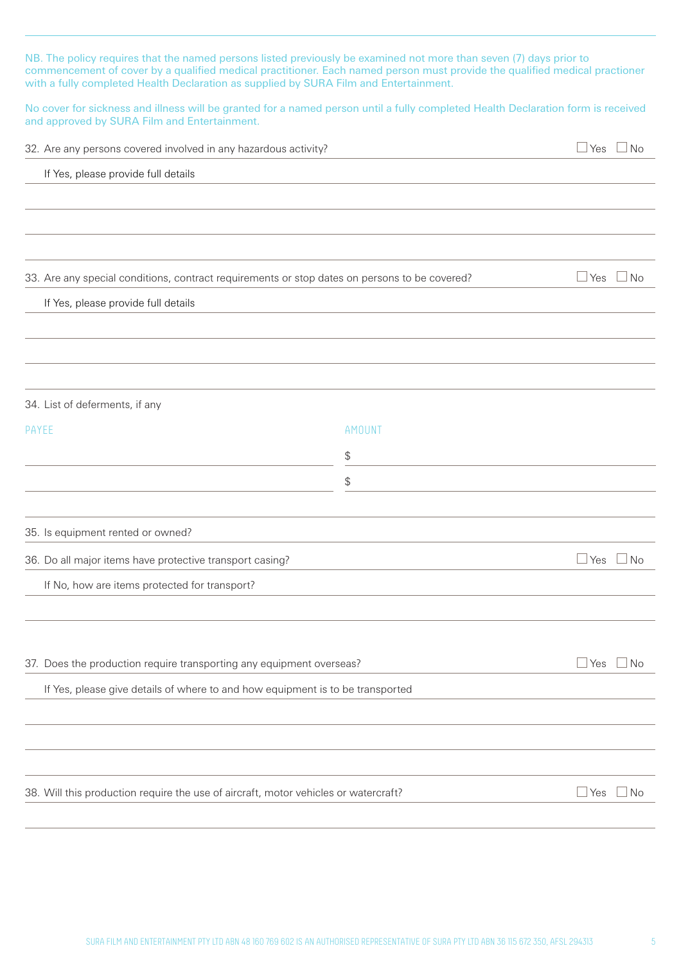| NB. The policy requires that the named persons listed previously be examined not more than seven (7) days prior to<br>commencement of cover by a qualified medical practitioner. Each named person must provide the qualified medical practioner<br>with a fully completed Health Declaration as supplied by SURA Film and Entertainment. |        |                                                |
|-------------------------------------------------------------------------------------------------------------------------------------------------------------------------------------------------------------------------------------------------------------------------------------------------------------------------------------------|--------|------------------------------------------------|
| No cover for sickness and illness will be granted for a named person until a fully completed Health Declaration form is received<br>and approved by SURA Film and Entertainment.                                                                                                                                                          |        |                                                |
| 32. Are any persons covered involved in any hazardous activity?                                                                                                                                                                                                                                                                           |        | $\sqcup$ Yes $\sqcup$ No                       |
| If Yes, please provide full details                                                                                                                                                                                                                                                                                                       |        |                                                |
|                                                                                                                                                                                                                                                                                                                                           |        |                                                |
|                                                                                                                                                                                                                                                                                                                                           |        |                                                |
|                                                                                                                                                                                                                                                                                                                                           |        |                                                |
| 33. Are any special conditions, contract requirements or stop dates on persons to be covered?                                                                                                                                                                                                                                             |        | $\Box$ Yes<br>$\Box$ No                        |
| If Yes, please provide full details                                                                                                                                                                                                                                                                                                       |        |                                                |
|                                                                                                                                                                                                                                                                                                                                           |        |                                                |
|                                                                                                                                                                                                                                                                                                                                           |        |                                                |
|                                                                                                                                                                                                                                                                                                                                           |        |                                                |
| 34. List of deferments, if any                                                                                                                                                                                                                                                                                                            |        |                                                |
| PAYEE                                                                                                                                                                                                                                                                                                                                     | AMOUNT |                                                |
|                                                                                                                                                                                                                                                                                                                                           | \$     |                                                |
|                                                                                                                                                                                                                                                                                                                                           | \$     |                                                |
| 35. Is equipment rented or owned?                                                                                                                                                                                                                                                                                                         |        |                                                |
| 36. Do all major items have protective transport casing?                                                                                                                                                                                                                                                                                  |        | $\overline{\phantom{0}}$<br>$\sqcup$ No<br>Yes |
| If No, how are items protected for transport?                                                                                                                                                                                                                                                                                             |        |                                                |
|                                                                                                                                                                                                                                                                                                                                           |        |                                                |
|                                                                                                                                                                                                                                                                                                                                           |        |                                                |
| 37. Does the production require transporting any equipment overseas?                                                                                                                                                                                                                                                                      |        | $\Box$ No<br>$\sqcup$ Yes                      |
| If Yes, please give details of where to and how equipment is to be transported                                                                                                                                                                                                                                                            |        |                                                |
|                                                                                                                                                                                                                                                                                                                                           |        |                                                |
|                                                                                                                                                                                                                                                                                                                                           |        |                                                |
|                                                                                                                                                                                                                                                                                                                                           |        |                                                |
| 38. Will this production require the use of aircraft, motor vehicles or watercraft?                                                                                                                                                                                                                                                       |        | $\sqcup$ Yes<br>$\Box$ No                      |
|                                                                                                                                                                                                                                                                                                                                           |        |                                                |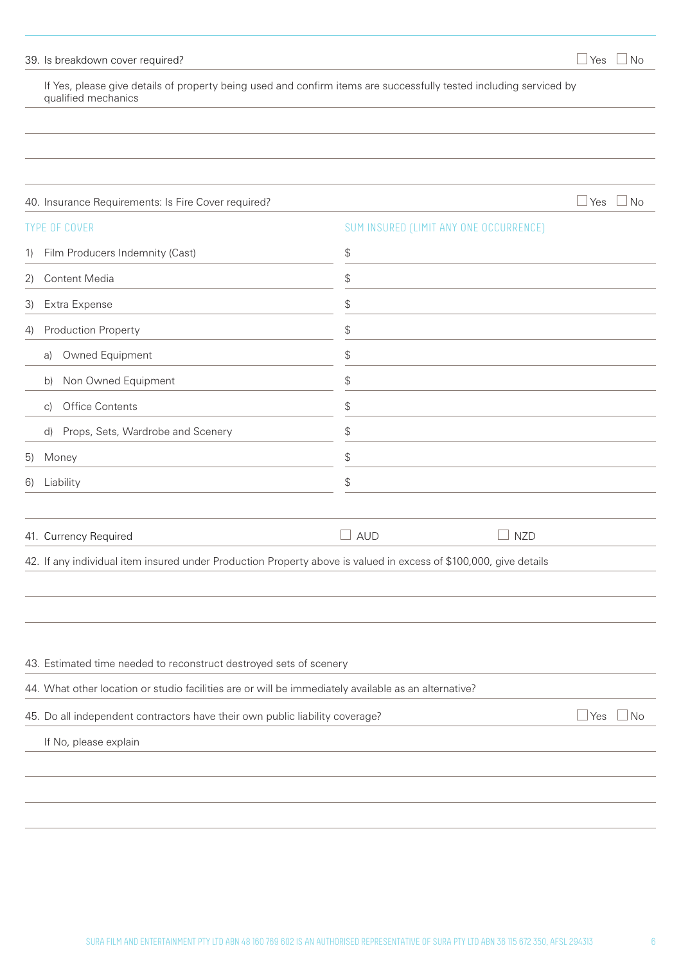### 39. Is breakdown cover required?  $\Box$  Yes  $\Box$  No

If Yes, please give details of property being used and confirm items are successfully tested including serviced by qualified mechanics

| 40. Insurance Requirements: Is Fire Cover required?                                                               |            |                                        | $\Box$ Yes $\Box$ No    |
|-------------------------------------------------------------------------------------------------------------------|------------|----------------------------------------|-------------------------|
| <b>TYPE OF COVER</b>                                                                                              |            | SUM INSURED (LIMIT ANY ONE OCCURRENCE) |                         |
| Film Producers Indemnity (Cast)<br>1)                                                                             | \$         |                                        |                         |
| Content Media<br>2)                                                                                               | \$         |                                        |                         |
| Extra Expense<br>3)                                                                                               | \$         |                                        |                         |
| Production Property<br>4)                                                                                         | \$         |                                        |                         |
| Owned Equipment<br>a)                                                                                             | \$         |                                        |                         |
| Non Owned Equipment<br>b)                                                                                         | \$         |                                        |                         |
| <b>Office Contents</b><br>C)                                                                                      | \$         |                                        |                         |
| Props, Sets, Wardrobe and Scenery<br>$\mathsf{d}$                                                                 | \$         |                                        |                         |
| Money<br>5)                                                                                                       | \$         |                                        |                         |
| Liability<br>6)                                                                                                   | \$         |                                        |                         |
|                                                                                                                   |            |                                        |                         |
| 41. Currency Required                                                                                             | $\Box$ aud | <b>NZD</b>                             |                         |
| 42. If any individual item insured under Production Property above is valued in excess of \$100,000, give details |            |                                        |                         |
|                                                                                                                   |            |                                        |                         |
|                                                                                                                   |            |                                        |                         |
|                                                                                                                   |            |                                        |                         |
| 43. Estimated time needed to reconstruct destroyed sets of scenery                                                |            |                                        |                         |
| 44. What other location or studio facilities are or will be immediately available as an alternative?              |            |                                        |                         |
| 45. Do all independent contractors have their own public liability coverage?                                      |            |                                        | $\Box$ Yes<br>$\Box$ No |
| If No, please explain                                                                                             |            |                                        |                         |
|                                                                                                                   |            |                                        |                         |
|                                                                                                                   |            |                                        |                         |
|                                                                                                                   |            |                                        |                         |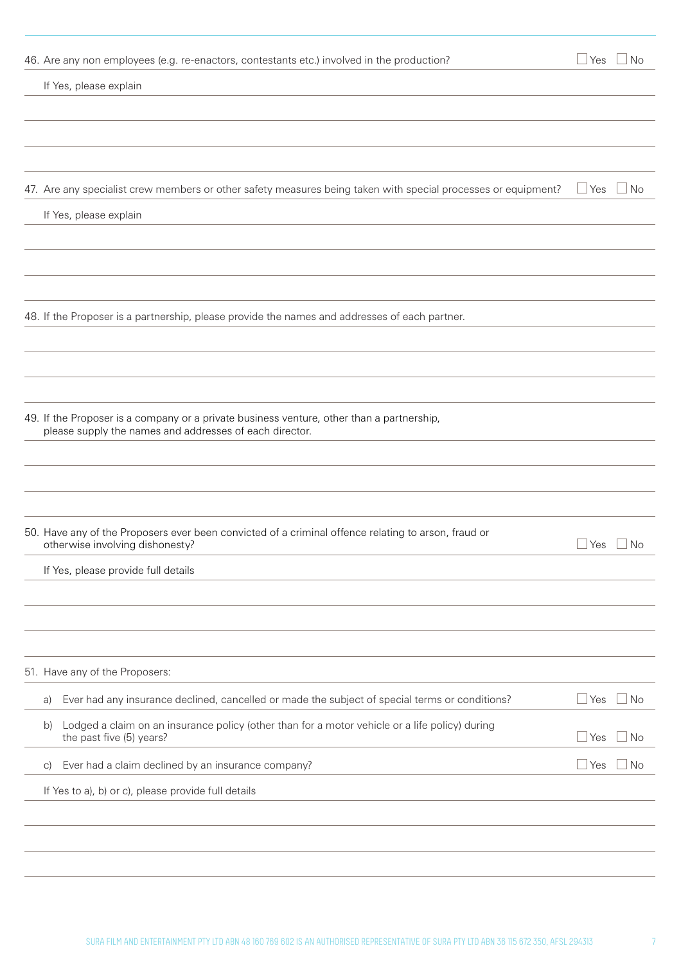| 46. Are any non employees (e.g. re-enactors, contestants etc.) involved in the production?                    |              | $\Box$ Yes $\Box$ No |
|---------------------------------------------------------------------------------------------------------------|--------------|----------------------|
| If Yes, please explain                                                                                        |              |                      |
|                                                                                                               |              |                      |
|                                                                                                               |              |                      |
|                                                                                                               |              |                      |
| 47. Are any specialist crew members or other safety measures being taken with special processes or equipment? | $\sqcup$ Yes | $\Box$ No            |
| If Yes, please explain                                                                                        |              |                      |
|                                                                                                               |              |                      |
|                                                                                                               |              |                      |
|                                                                                                               |              |                      |
| 48. If the Proposer is a partnership, please provide the names and addresses of each partner.                 |              |                      |
|                                                                                                               |              |                      |
|                                                                                                               |              |                      |
|                                                                                                               |              |                      |
| 49. If the Proposer is a company or a private business venture, other than a partnership,                     |              |                      |
| please supply the names and addresses of each director.                                                       |              |                      |
|                                                                                                               |              |                      |
|                                                                                                               |              |                      |
| 50. Have any of the Proposers ever been convicted of a criminal offence relating to arson, fraud or           |              |                      |
| otherwise involving dishonesty?                                                                               |              | ⊿Yes ∟No             |
| If Yes, please provide full details                                                                           |              |                      |
|                                                                                                               |              |                      |
|                                                                                                               |              |                      |
|                                                                                                               |              |                      |
| 51. Have any of the Proposers:                                                                                |              |                      |
| Ever had any insurance declined, cancelled or made the subject of special terms or conditions?<br>a)          | $\Box$ Yes   | $\Box$ No            |
| Lodged a claim on an insurance policy (other than for a motor vehicle or a life policy) during<br>b)          |              |                      |
| the past five (5) years?                                                                                      | $\Box$ Yes   | $\Box$ No            |
| Ever had a claim declined by an insurance company?<br>$\vert$ C)                                              | $\Box$ Yes   | $\Box$ No            |
| If Yes to a), b) or c), please provide full details                                                           |              |                      |
|                                                                                                               |              |                      |
|                                                                                                               |              |                      |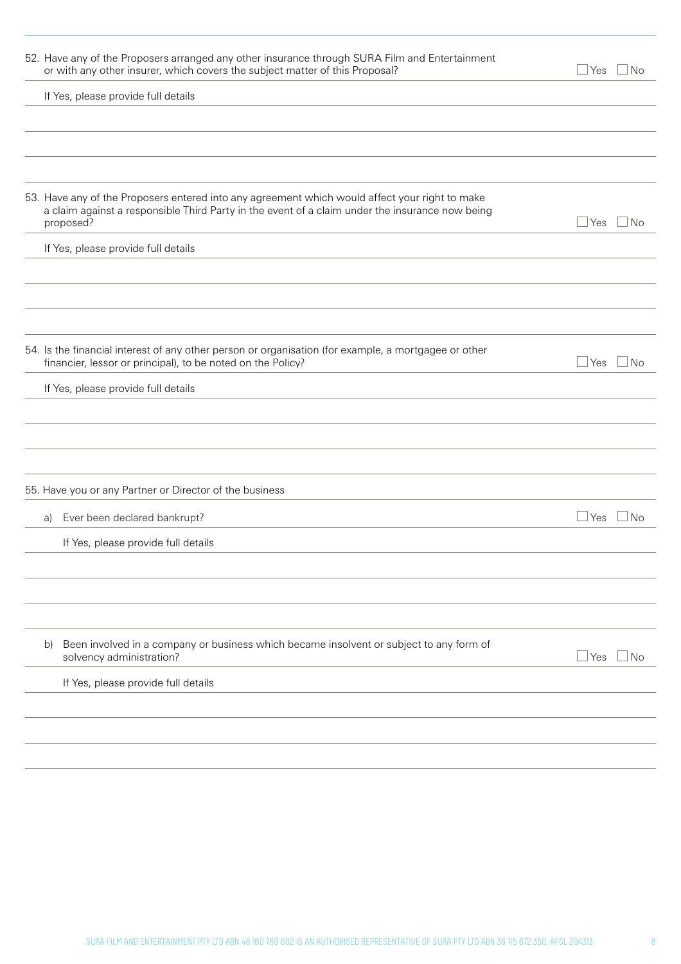| 52. Have any of the Proposers arranged any other insurance through SURA Film and Entertainment<br>or with any other insurer, which covers the subject matter of this Proposal?                                 | ⊿ Yes<br>⊿ No             |
|----------------------------------------------------------------------------------------------------------------------------------------------------------------------------------------------------------------|---------------------------|
| If Yes, please provide full details                                                                                                                                                                            |                           |
|                                                                                                                                                                                                                |                           |
|                                                                                                                                                                                                                |                           |
|                                                                                                                                                                                                                |                           |
| 53. Have any of the Proposers entered into any agreement which would affect your right to make<br>a claim against a responsible Third Party in the event of a claim under the insurance now being<br>proposed? | $\sqcup$ Yes<br>$\Box$ No |
| If Yes, please provide full details                                                                                                                                                                            |                           |
|                                                                                                                                                                                                                |                           |
|                                                                                                                                                                                                                |                           |
|                                                                                                                                                                                                                |                           |
| 54. Is the financial interest of any other person or organisation (for example, a mortgagee or other<br>financier, lessor or principal), to be noted on the Policy?                                            | ⊿ Yes<br>l No             |
| If Yes, please provide full details                                                                                                                                                                            |                           |
|                                                                                                                                                                                                                |                           |
|                                                                                                                                                                                                                |                           |
|                                                                                                                                                                                                                |                           |
| 55. Have you or any Partner or Director of the business                                                                                                                                                        |                           |
| Ever been declared bankrupt?<br>a)                                                                                                                                                                             | $\sqcup$ Yes<br>– I No    |
| If Yes, please provide full details                                                                                                                                                                            |                           |
|                                                                                                                                                                                                                |                           |
|                                                                                                                                                                                                                |                           |
|                                                                                                                                                                                                                |                           |
| Been involved in a company or business which became insolvent or subject to any form of<br>b)<br>solvency administration?                                                                                      | $\sqcup$ Yes<br>⊥No       |
| If Yes, please provide full details                                                                                                                                                                            |                           |
|                                                                                                                                                                                                                |                           |
|                                                                                                                                                                                                                |                           |